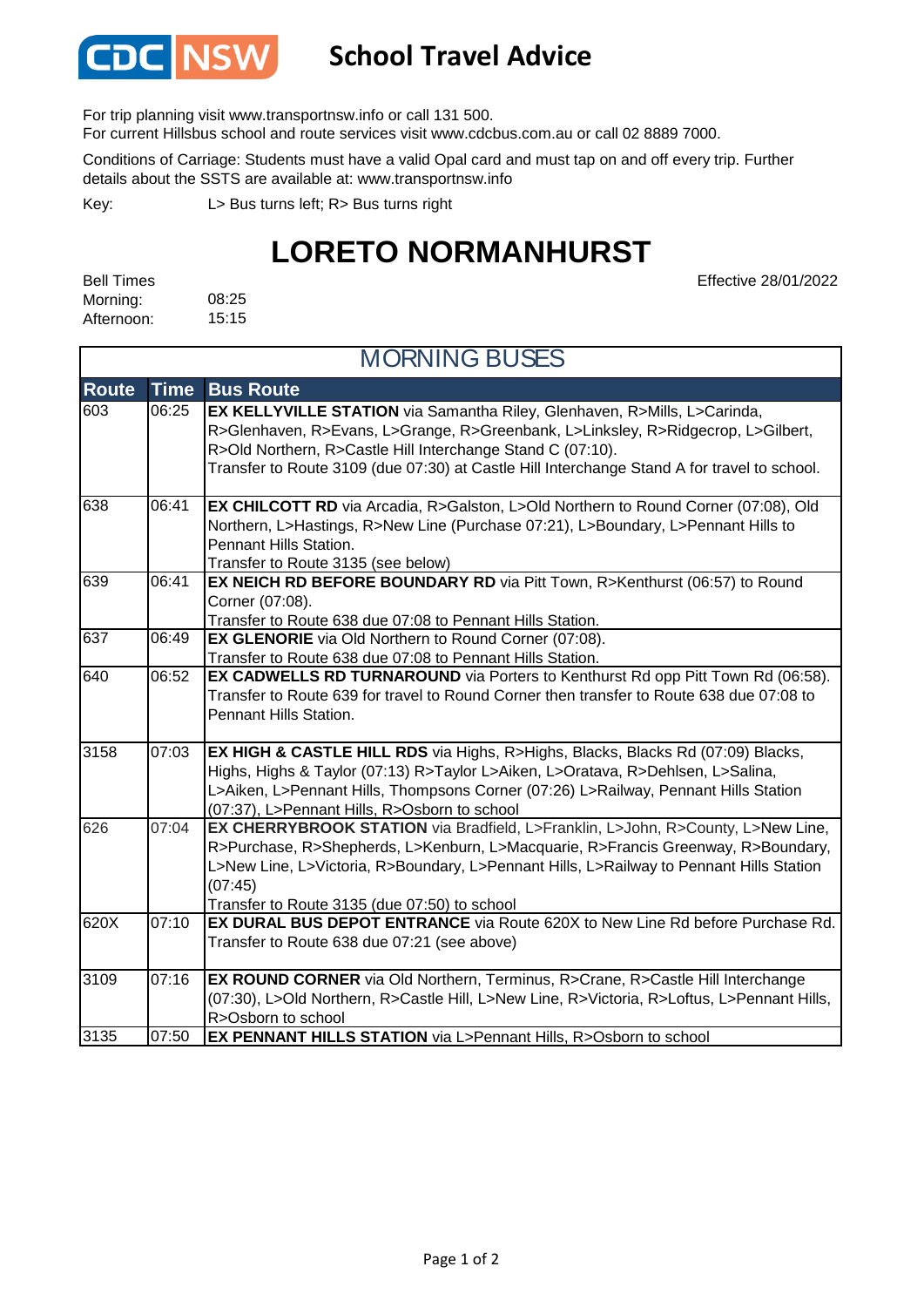

## **School Travel Advice**

For trip planning visit www.transportnsw.info or call 131 500.

For current Hillsbus school and route services visit www.cdcbus.com.au or call 02 8889 7000.

Conditions of Carriage: Students must have a valid Opal card and must tap on and off every trip. Further details about the SSTS are available at: www.transportnsw.info

Key:

L> Bus turns left; R> Bus turns right

## **LORETO NORMANHURST**

Effective 28/01/2022

08:25 15:15 Bell Times Morning: Afternoon:

| <b>MORNING BUSES</b> |             |                                                                                                                                                                                                                                                                                                                           |
|----------------------|-------------|---------------------------------------------------------------------------------------------------------------------------------------------------------------------------------------------------------------------------------------------------------------------------------------------------------------------------|
| <b>Route</b>         | <b>Time</b> | <b>Bus Route</b>                                                                                                                                                                                                                                                                                                          |
| 603                  | 06:25       | EX KELLYVILLE STATION via Samantha Riley, Glenhaven, R>Mills, L>Carinda,<br>R>Glenhaven, R>Evans, L>Grange, R>Greenbank, L>Linksley, R>Ridgecrop, L>Gilbert,<br>R>Old Northern, R>Castle Hill Interchange Stand C (07:10).<br>Transfer to Route 3109 (due 07:30) at Castle Hill Interchange Stand A for travel to school. |
| 638                  | 06:41       | EX CHILCOTT RD via Arcadia, R>Galston, L>Old Northern to Round Corner (07:08), Old<br>Northern, L>Hastings, R>New Line (Purchase 07:21), L>Boundary, L>Pennant Hills to<br>Pennant Hills Station.<br>Transfer to Route 3135 (see below)                                                                                   |
| 639                  | 06:41       | EX NEICH RD BEFORE BOUNDARY RD via Pitt Town, R>Kenthurst (06:57) to Round<br>Corner (07:08).<br>Transfer to Route 638 due 07:08 to Pennant Hills Station.                                                                                                                                                                |
| 637                  | 06:49       | <b>EX GLENORIE</b> via Old Northern to Round Corner (07:08).<br>Transfer to Route 638 due 07:08 to Pennant Hills Station.                                                                                                                                                                                                 |
| 640                  | 06:52       | <b>EX CADWELLS RD TURNAROUND</b> via Porters to Kenthurst Rd opp Pitt Town Rd (06:58).<br>Transfer to Route 639 for travel to Round Corner then transfer to Route 638 due 07:08 to<br>Pennant Hills Station.                                                                                                              |
| 3158                 | 07:03       | <b>EX HIGH &amp; CASTLE HILL RDS</b> via Highs, R>Highs, Blacks, Blacks Rd (07:09) Blacks,<br>Highs, Highs & Taylor (07:13) R>Taylor L>Aiken, L>Oratava, R>Dehlsen, L>Salina,<br>L>Aiken, L>Pennant Hills, Thompsons Corner (07:26) L>Railway, Pennant Hills Station<br>(07:37), L>Pennant Hills, R>Osborn to school      |
| 626                  | 07:04       | EX CHERRYBROOK STATION via Bradfield, L>Franklin, L>John, R>County, L>New Line,<br>R>Purchase, R>Shepherds, L>Kenburn, L>Macquarie, R>Francis Greenway, R>Boundary,<br>L>New Line, L>Victoria, R>Boundary, L>Pennant Hills, L>Railway to Pennant Hills Station<br>(07:45)<br>Transfer to Route 3135 (due 07:50) to school |
| 620X                 | 07:10       | EX DURAL BUS DEPOT ENTRANCE via Route 620X to New Line Rd before Purchase Rd.<br>Transfer to Route 638 due 07:21 (see above)                                                                                                                                                                                              |
| 3109                 | 07:16       | EX ROUND CORNER via Old Northern, Terminus, R>Crane, R>Castle Hill Interchange<br>(07:30), L>Old Northern, R>Castle Hill, L>New Line, R>Victoria, R>Loftus, L>Pennant Hills,<br>R>Osborn to school                                                                                                                        |
| 3135                 | 07:50       | EX PENNANT HILLS STATION via L>Pennant Hills, R>Osborn to school                                                                                                                                                                                                                                                          |